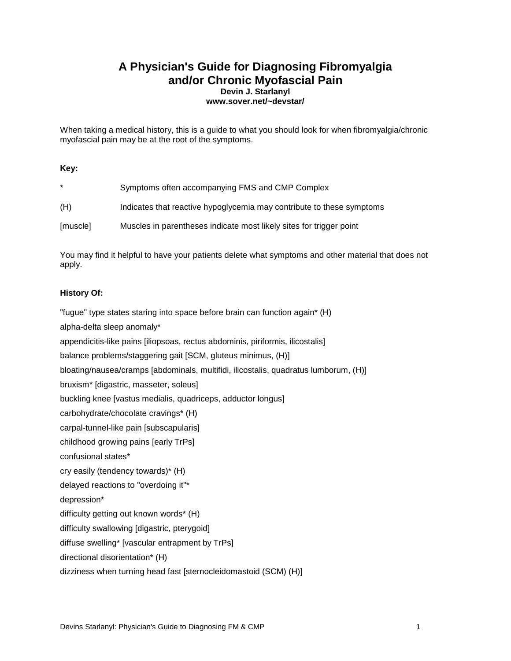# **A Physician's Guide for Diagnosing Fibromyalgia and/or Chronic Myofascial Pain Devin J. Starlanyl www.sover.net/~devstar/**

When taking a medical history, this is a guide to what you should look for when fibromyalgia/chronic myofascial pain may be at the root of the symptoms.

#### **Key:**

| $\star$  | Symptoms often accompanying FMS and CMP Complex                       |
|----------|-----------------------------------------------------------------------|
| (H)      | Indicates that reactive hypoglycemia may contribute to these symptoms |
| [muscle] | Muscles in parentheses indicate most likely sites for trigger point   |

You may find it helpful to have your patients delete what symptoms and other material that does not apply.

#### **History Of:**

"fugue" type states staring into space before brain can function again\* (H) alpha-delta sleep anomaly\* appendicitis-like pains [iliopsoas, rectus abdominis, piriformis, ilicostalis] balance problems/staggering gait [SCM, gluteus minimus, (H)] bloating/nausea/cramps [abdominals, multifidi, ilicostalis, quadratus lumborum, (H)] bruxism\* [digastric, masseter, soleus] buckling knee [vastus medialis, quadriceps, adductor longus] carbohydrate/chocolate cravings\* (H) carpal-tunnel-like pain [subscapularis] childhood growing pains [early TrPs] confusional states\* cry easily (tendency towards)\* (H) delayed reactions to "overdoing it"\* depression\* difficulty getting out known words\* (H) difficulty swallowing [digastric, pterygoid] diffuse swelling\* [vascular entrapment by TrPs] directional disorientation\* (H) dizziness when turning head fast [sternocleidomastoid (SCM) (H)]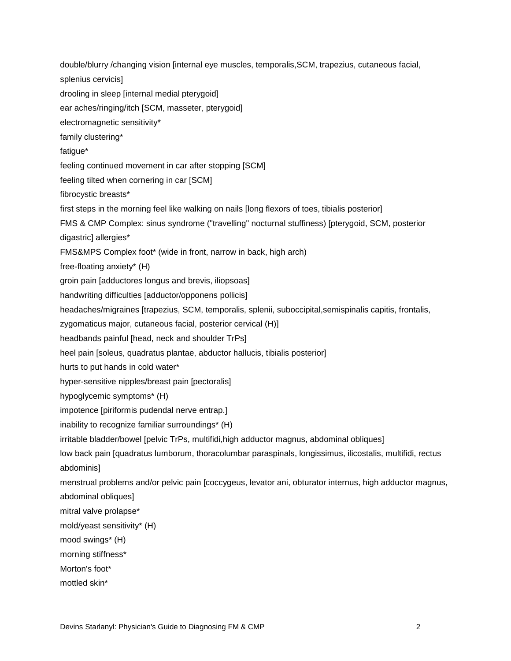double/blurry /changing vision [internal eye muscles, temporalis,SCM, trapezius, cutaneous facial, splenius cervicis] drooling in sleep [internal medial pterygoid] ear aches/ringing/itch [SCM, masseter, pterygoid] electromagnetic sensitivity\* family clustering\* fatigue\* feeling continued movement in car after stopping [SCM] feeling tilted when cornering in car [SCM] fibrocystic breasts\* first steps in the morning feel like walking on nails [long flexors of toes, tibialis posterior] FMS & CMP Complex: sinus syndrome ("travelling" nocturnal stuffiness) [pterygoid, SCM, posterior digastric] allergies\* FMS&MPS Complex foot\* (wide in front, narrow in back, high arch) free-floating anxiety\* (H) groin pain [adductores longus and brevis, iliopsoas] handwriting difficulties [adductor/opponens pollicis] headaches/migraines [trapezius, SCM, temporalis, splenii, suboccipital,semispinalis capitis, frontalis, zygomaticus major, cutaneous facial, posterior cervical (H)] headbands painful [head, neck and shoulder TrPs] heel pain [soleus, quadratus plantae, abductor hallucis, tibialis posterior] hurts to put hands in cold water\* hyper-sensitive nipples/breast pain [pectoralis] hypoglycemic symptoms\* (H) impotence [piriformis pudendal nerve entrap.] inability to recognize familiar surroundings\* (H) irritable bladder/bowel [pelvic TrPs, multifidi,high adductor magnus, abdominal obliques] low back pain [quadratus lumborum, thoracolumbar paraspinals, longissimus, ilicostalis, multifidi, rectus abdominis] menstrual problems and/or pelvic pain [coccygeus, levator ani, obturator internus, high adductor magnus, abdominal obliques] mitral valve prolapse\* mold/yeast sensitivity\* (H) mood swings\* (H) morning stiffness\* Morton's foot\* mottled skin\*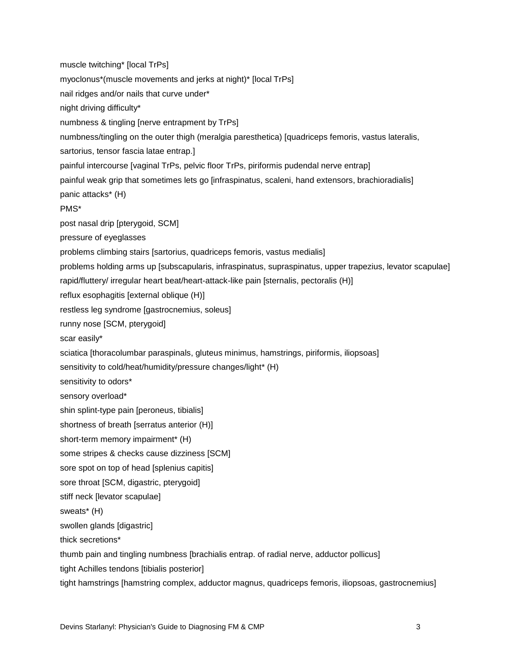muscle twitching\* [local TrPs] myoclonus\*(muscle movements and jerks at night)\* [local TrPs] nail ridges and/or nails that curve under\* night driving difficulty\* numbness & tingling [nerve entrapment by TrPs] numbness/tingling on the outer thigh (meralgia paresthetica) [quadriceps femoris, vastus lateralis, sartorius, tensor fascia latae entrap.] painful intercourse [vaginal TrPs, pelvic floor TrPs, piriformis pudendal nerve entrap] painful weak grip that sometimes lets go [infraspinatus, scaleni, hand extensors, brachioradialis] panic attacks\* (H) PMS\* post nasal drip [pterygoid, SCM] pressure of eyeglasses problems climbing stairs [sartorius, quadriceps femoris, vastus medialis] problems holding arms up [subscapularis, infraspinatus, supraspinatus, upper trapezius, levator scapulae] rapid/fluttery/ irregular heart beat/heart-attack-like pain [sternalis, pectoralis (H)] reflux esophagitis [external oblique (H)] restless leg syndrome [gastrocnemius, soleus] runny nose [SCM, pterygoid] scar easily\* sciatica [thoracolumbar paraspinals, gluteus minimus, hamstrings, piriformis, iliopsoas] sensitivity to cold/heat/humidity/pressure changes/light\* (H) sensitivity to odors\* sensory overload\* shin splint-type pain [peroneus, tibialis] shortness of breath [serratus anterior (H)] short-term memory impairment\* (H) some stripes & checks cause dizziness [SCM] sore spot on top of head [splenius capitis] sore throat [SCM, digastric, pterygoid] stiff neck [levator scapulae] sweats\* (H) swollen glands [digastric] thick secretions\* thumb pain and tingling numbness [brachialis entrap. of radial nerve, adductor pollicus] tight Achilles tendons [tibialis posterior]

tight hamstrings [hamstring complex, adductor magnus, quadriceps femoris, iliopsoas, gastrocnemius]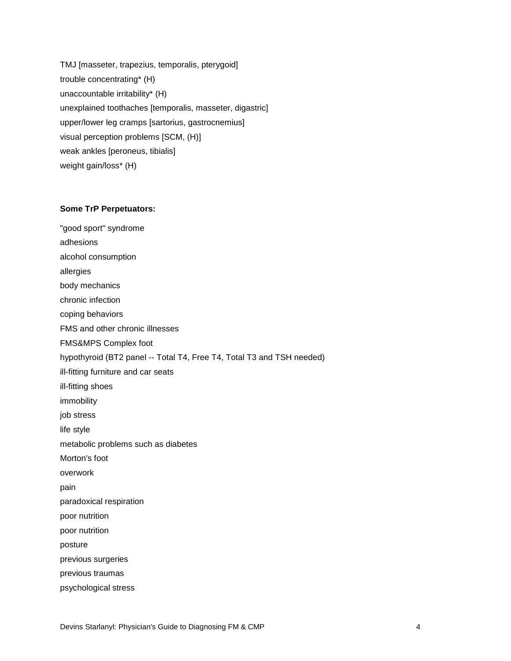TMJ [masseter, trapezius, temporalis, pterygoid] trouble concentrating\* (H) unaccountable irritability\* (H) unexplained toothaches [temporalis, masseter, digastric] upper/lower leg cramps [sartorius, gastrocnemius] visual perception problems [SCM, (H)] weak ankles [peroneus, tibialis] weight gain/loss\* (H)

#### **Some TrP Perpetuators:**

"good sport" syndrome adhesions alcohol consumption allergies body mechanics chronic infection coping behaviors FMS and other chronic illnesses FMS&MPS Complex foot hypothyroid (BT2 panel -- Total T4, Free T4, Total T3 and TSH needed) ill-fitting furniture and car seats ill-fitting shoes immobility job stress life style metabolic problems such as diabetes Morton's foot overwork pain paradoxical respiration poor nutrition poor nutrition posture previous surgeries previous traumas psychological stress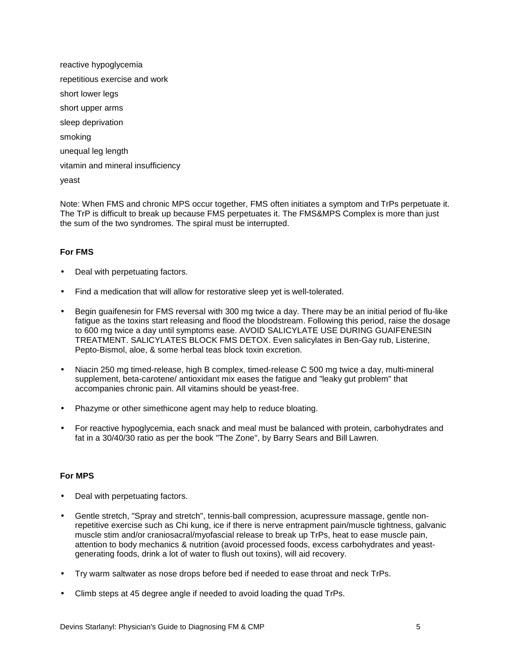reactive hypoglycemia repetitious exercise and work short lower legs short upper arms sleep deprivation smoking unequal leg length vitamin and mineral insufficiency yeast

Note: When FMS and chronic MPS occur together, FMS often initiates a symptom and TrPs perpetuate it. The TrP is difficult to break up because FMS perpetuates it. The FMS&MPS Complex is more than just the sum of the two syndromes. The spiral must be interrupted.

### **For FMS**

- Deal with perpetuating factors.
- Find a medication that will allow for restorative sleep yet is well-tolerated.
- Begin guaifenesin for FMS reversal with 300 mg twice a day. There may be an initial period of flu-like fatigue as the toxins start releasing and flood the bloodstream. Following this period, raise the dosage to 600 mg twice a day until symptoms ease. AVOID SALICYLATE USE DURING GUAIFENESIN TREATMENT. SALICYLATES BLOCK FMS DETOX. Even salicylates in Ben-Gay rub, Listerine, Pepto-Bismol, aloe, & some herbal teas block toxin excretion.
- Niacin 250 mg timed-release, high B complex, timed-release C 500 mg twice a day, multi-mineral supplement, beta-carotene/ antioxidant mix eases the fatigue and "leaky gut problem" that accompanies chronic pain. All vitamins should be yeast-free.
- Phazyme or other simethicone agent may help to reduce bloating.
- For reactive hypoglycemia, each snack and meal must be balanced with protein, carbohydrates and fat in a 30/40/30 ratio as per the book "The Zone", by Barry Sears and Bill Lawren.

## **For MPS**

- Deal with perpetuating factors.
- Gentle stretch, "Spray and stretch", tennis-ball compression, acupressure massage, gentle nonrepetitive exercise such as Chi kung, ice if there is nerve entrapment pain/muscle tightness, galvanic muscle stim and/or craniosacral/myofascial release to break up TrPs, heat to ease muscle pain, attention to body mechanics & nutrition (avoid processed foods, excess carbohydrates and yeastgenerating foods, drink a lot of water to flush out toxins), will aid recovery.
- Try warm saltwater as nose drops before bed if needed to ease throat and neck TrPs.
- Climb steps at 45 degree angle if needed to avoid loading the quad TrPs.